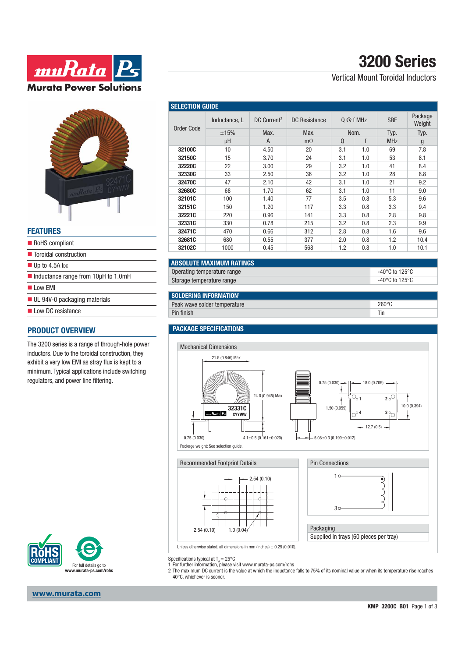



#### **FEATURES**

| RoHS compliant                                             |  |
|------------------------------------------------------------|--|
| ■ Toroidal construction                                    |  |
| $\blacksquare$ Up to 4.5A lpc                              |  |
| $\blacksquare$ Inductance range from 10 $\upmu$ H to 1.0mH |  |
| low FMI                                                    |  |
| UL 94V-0 packaging materials                               |  |
| Low DC resistance                                          |  |

### **PRODUCT OVERVIEW**

The 3200 series is a range of through-hole power inductors. Due to the toroidal construction, they exhibit a very low EMI as stray flux is kept to a minimum. Typical applications include switching regulators, and power line filtering.



# **3200 Series**

Vertical Mount Toroidal Inductors

| <b>SELECTION GUIDE</b> |               |                         |               |           |     |            |                   |
|------------------------|---------------|-------------------------|---------------|-----------|-----|------------|-------------------|
| Order Code             | Inductance, L | DC Current <sup>2</sup> | DC Resistance | $Q@f$ MHz |     | <b>SRF</b> | Package<br>Weight |
|                        | ±15%          | Max.                    | Max.          | Nom.      |     | Typ.       | Typ.              |
|                        | μH            | A                       | $m\Omega$     | $\Omega$  | f   | <b>MHz</b> | g                 |
| 32100C                 | 10            | 4.50                    | 20            | 3.1       | 1.0 | 69         | 7.8               |
| 32150C                 | 15            | 3.70                    | 24            | 3.1       | 1.0 | 53         | 8.1               |
| 32220C                 | 22            | 3.00                    | 29            | 3.2       | 1.0 | 41         | 8.4               |
| 32330C                 | 33            | 2.50                    | 36            | 3.2       | 1.0 | 28         | 8.8               |
| 32470C                 | 47            | 2.10                    | 42            | 3.1       | 1.0 | 21         | 9.2               |
| 32680C                 | 68            | 1.70                    | 62            | 3.1       | 1.0 | 11         | 9.0               |
| 32101C                 | 100           | 1.40                    | 77            | 3.5       | 0.8 | 5.3        | 9.6               |
| 32151C                 | 150           | 1.20                    | 117           | 3.3       | 0.8 | 3.3        | 9.4               |
| 32221C                 | 220           | 0.96                    | 141           | 3.3       | 0.8 | 2.8        | 9.8               |
| 32331C                 | 330           | 0.78                    | 215           | 3.2       | 0.8 | 2.3        | 9.9               |
| 32471C                 | 470           | 0.66                    | 312           | 2.8       | 0.8 | 1.6        | 9.6               |
| 32681C                 | 680           | 0.55                    | 377           | 2.0       | 0.8 | 1.2        | 10.4              |
| 32102C                 | 1000          | 0.45                    | 568           | 1.2       | 0.8 | 1.0        | 10.1              |

### **ABSOLUTE MAXIMUM RATINGS**

| Operating temperature range | -40°C to 125°C |
|-----------------------------|----------------|
| Storage temperature range   | -40°C to 125°C |

### **SOLDERING INFORMATION!**

| Peak wave solder tempe<br>erature |   |
|-----------------------------------|---|
|                                   | ш |
|                                   |   |

### **PACKAGE SPECIFICATIONS**



Specifications typical at  $T_a = 25^{\circ}$ C

1 For further information, please visit www.murata-ps.com/rohs

Unless otherwise stated, all dimensions in mm (inches)  $\pm$  0.25 (0.010).

2 The maximum DC current is the value at which the inductance falls to 75% of its nominal value or when its temperature rise reaches 40°C, whichever is sooner.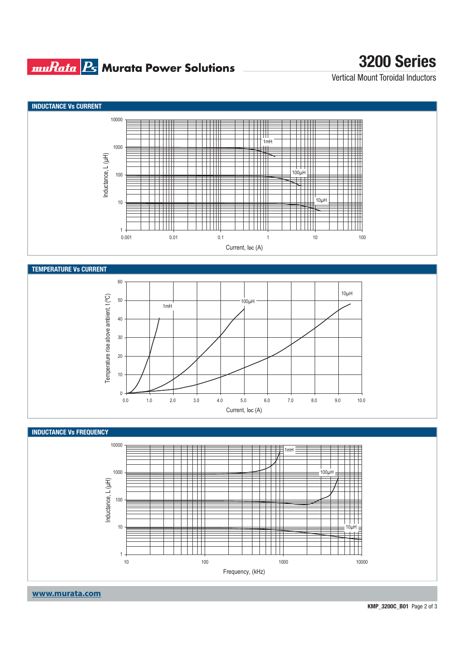### **muRata Ps** Murata Power Solutions

## **3200 Series**

Vertical Mount Toroidal Inductors



**www.murata.com**

**KMP\_3200C\_B01** Page 2 of 3